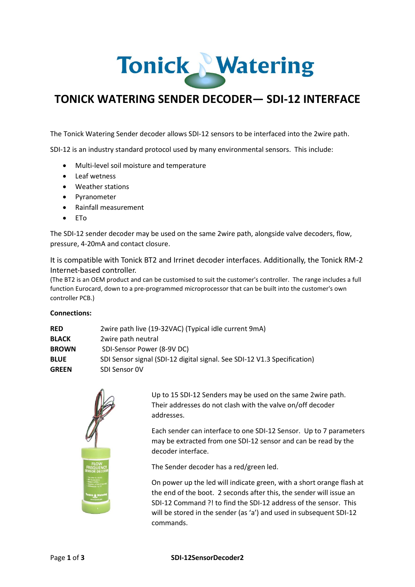# Tonick Watering

## **TONICK WATERING SENDER DECODER— SDI-12 INTERFACE**

The Tonick Watering Sender decoder allows SDI-12 sensors to be interfaced into the 2wire path.

SDI-12 is an industry standard protocol used by many environmental sensors. This include:

- Multi-level soil moisture and temperature
- Leaf wetness
- Weather stations
- Pyranometer
- Rainfall measurement
- ETo

The SDI-12 sender decoder may be used on the same 2wire path, alongside valve decoders, flow, pressure, 4-20mA and contact closure.

It is compatible with Tonick BT2 and Irrinet decoder interfaces. Additionally, the Tonick RM-2 Internet-based controller.

(The BT2 is an OEM product and can be customised to suit the customer's controller. The range includes a full function Eurocard, down to a pre-programmed microprocessor that can be built into the customer's own controller PCB.)

#### **Connections:**

| <b>RED</b>   | 2wire path live (19-32VAC) (Typical idle current 9mA)                    |
|--------------|--------------------------------------------------------------------------|
| <b>BLACK</b> | 2wire path neutral                                                       |
| <b>BROWN</b> | SDI-Sensor Power (8-9V DC)                                               |
| <b>BLUE</b>  | SDI Sensor signal (SDI-12 digital signal. See SDI-12 V1.3 Specification) |
| <b>GREEN</b> | SDI Sensor OV                                                            |



Up to 15 SDI-12 Senders may be used on the same 2wire path. Their addresses do not clash with the valve on/off decoder addresses.

Each sender can interface to one SDI-12 Sensor. Up to 7 parameters may be extracted from one SDI-12 sensor and can be read by the decoder interface.

The Sender decoder has a red/green led.

On power up the led will indicate green, with a short orange flash at the end of the boot. 2 seconds after this, the sender will issue an SDI-12 Command ?! to find the SDI-12 address of the sensor. This will be stored in the sender (as 'a') and used in subsequent SDI-12 commands.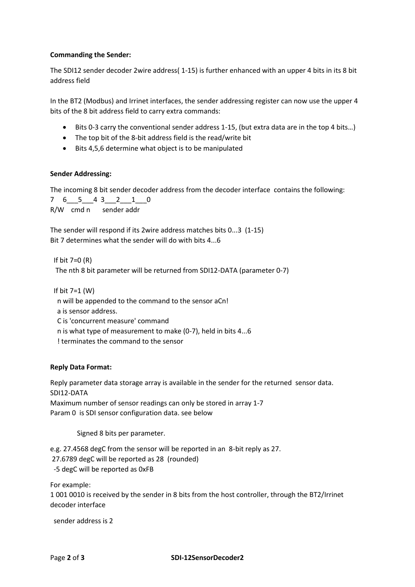#### **Commanding the Sender:**

The SDI12 sender decoder 2wire address( 1-15) is further enhanced with an upper 4 bits in its 8 bit address field

In the BT2 (Modbus) and Irrinet interfaces, the sender addressing register can now use the upper 4 bits of the 8 bit address field to carry extra commands:

- Bits 0-3 carry the conventional sender address 1-15, (but extra data are in the top 4 bits…)
- The top bit of the 8-bit address field is the read/write bit
- Bits 4,5,6 determine what object is to be manipulated

#### **Sender Addressing:**

The incoming 8 bit sender decoder address from the decoder interface contains the following:

 $7 \quad 6 \quad 5 \quad 4 \quad 3 \quad 2 \quad 1 \quad 0$ R/W cmd n sender addr

The sender will respond if its 2wire address matches bits 0...3 (1-15) Bit 7 determines what the sender will do with bits 4...6

If bit 7=0 (R) The nth 8 bit parameter will be returned from SDI12-DATA (parameter 0-7)

If bit 7=1 (W)

n will be appended to the command to the sensor aCn!

a is sensor address.

C is 'concurrent measure' command

n is what type of measurement to make (0-7), held in bits 4...6

! terminates the command to the sensor

### **Reply Data Format:**

Reply parameter data storage array is available in the sender for the returned sensor data. SDI12-DATA

Maximum number of sensor readings can only be stored in array 1-7 Param 0 is SDI sensor configuration data. see below

Signed 8 bits per parameter.

e.g. 27.4568 degC from the sensor will be reported in an 8-bit reply as 27. 27.6789 degC will be reported as 28 (rounded) -5 degC will be reported as 0xFB

For example:

1 001 0010 is received by the sender in 8 bits from the host controller, through the BT2/Irrinet decoder interface

sender address is 2